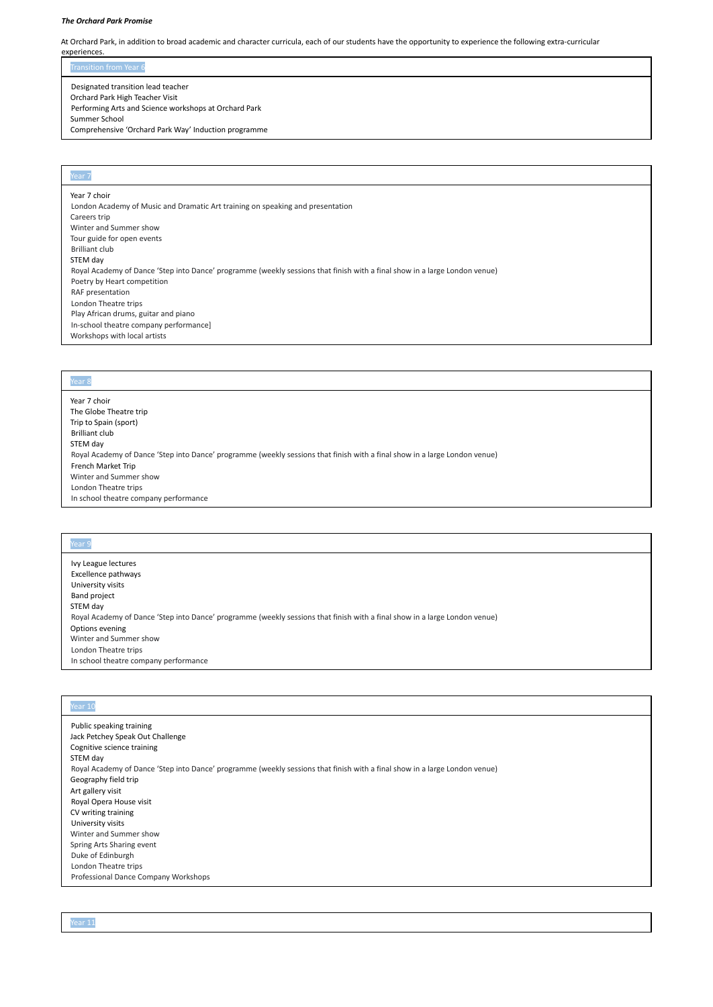## *The Orchard Park Promise*

At Orchard Park, in addition to broad academic and character curricula, each of our students have the opportunity to experience the following extra-curricular experiences.

## Transition from Year 6

Designated transition lead teacher Orchard Park High Teacher Visit Performing Arts and Science workshops at Orchard Park Summer School Comprehensive 'Orchard Park Way' Induction programme

| Year 7                                                                                                                     |
|----------------------------------------------------------------------------------------------------------------------------|
| Year 7 choir                                                                                                               |
| London Academy of Music and Dramatic Art training on speaking and presentation                                             |
| Careers trip                                                                                                               |
| Winter and Summer show                                                                                                     |
| Tour guide for open events                                                                                                 |
| <b>Brilliant club</b>                                                                                                      |
| STEM day                                                                                                                   |
| Royal Academy of Dance 'Step into Dance' programme (weekly sessions that finish with a final show in a large London venue) |
| Poetry by Heart competition                                                                                                |
| RAF presentation                                                                                                           |
| London Theatre trips                                                                                                       |
| Play African drums, guitar and piano                                                                                       |
| In-school theatre company performance]                                                                                     |
| Workshops with local artists                                                                                               |

| Year <sub>8</sub>                                                                                                          |
|----------------------------------------------------------------------------------------------------------------------------|
| Year 7 choir                                                                                                               |
| The Globe Theatre trip                                                                                                     |
| Trip to Spain (sport)                                                                                                      |
| <b>Brilliant club</b>                                                                                                      |
| STEM day                                                                                                                   |
| Royal Academy of Dance 'Step into Dance' programme (weekly sessions that finish with a final show in a large London venue) |
| French Market Trip                                                                                                         |
| Winter and Summer show                                                                                                     |
| London Theatre trips                                                                                                       |
| In school theatre company performance                                                                                      |

| Year 9                                                                                                                                                                                                                                                                                                                                  |
|-----------------------------------------------------------------------------------------------------------------------------------------------------------------------------------------------------------------------------------------------------------------------------------------------------------------------------------------|
| Ivy League lectures<br>Excellence pathways<br>University visits<br>Band project<br>STEM day<br>Royal Academy of Dance 'Step into Dance' programme (weekly sessions that finish with a final show in a large London venue)<br>Options evening<br>Winter and Summer show<br>London Theatre trips<br>In school theatre company performance |
|                                                                                                                                                                                                                                                                                                                                         |

## Year 10

Public speaking training Jack Petchey Speak Out Challenge Cognitive science training STEM day Royal Academy of Dance 'Step into Dance' programme (weekly sessions that finish with a final show in a large London venue) Geography field trip Art gallery visit Royal Opera House visit CV writing training University visits Winter and Summer show Spring Arts Sharing event Duke of Edinburgh London Theatre trips Professional Dance Company Workshops

Year 11